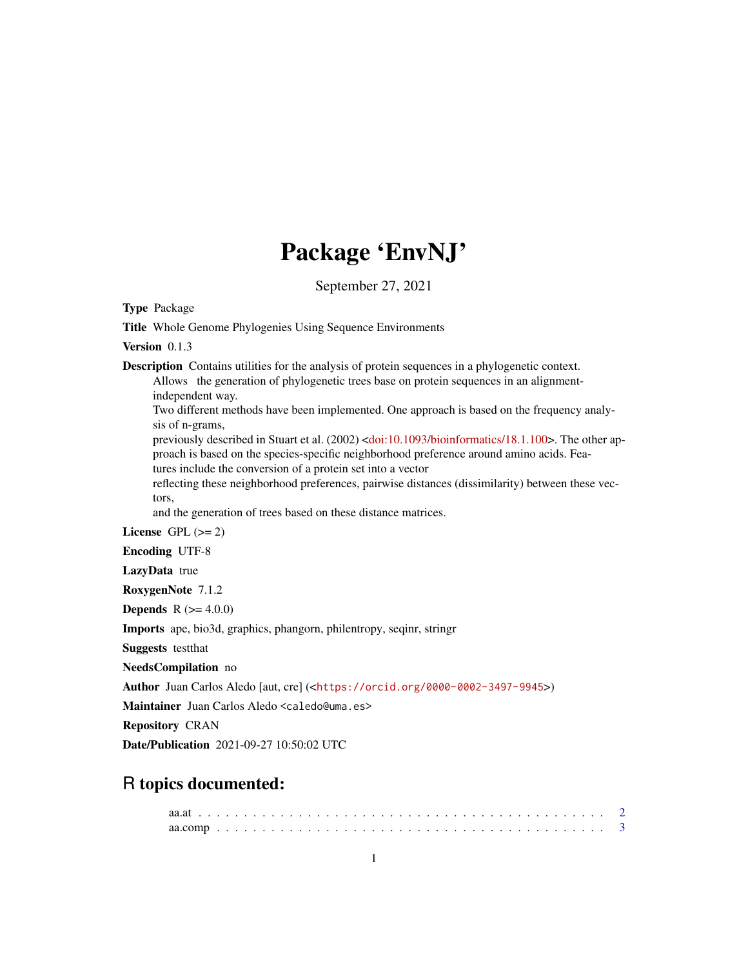# Package 'EnvNJ'

September 27, 2021

Type Package

Title Whole Genome Phylogenies Using Sequence Environments

Version 0.1.3

Description Contains utilities for the analysis of protein sequences in a phylogenetic context.

Allows the generation of phylogenetic trees base on protein sequences in an alignmentindependent way.

Two different methods have been implemented. One approach is based on the frequency analysis of n-grams,

previously described in Stuart et al. (2002) [<doi:10.1093/bioinformatics/18.1.100>](https://doi.org/10.1093/bioinformatics/18.1.100). The other approach is based on the species-specific neighborhood preference around amino acids. Fea-

tures include the conversion of a protein set into a vector

reflecting these neighborhood preferences, pairwise distances (dissimilarity) between these vectors,

and the generation of trees based on these distance matrices.

License GPL  $(>= 2)$ 

Encoding UTF-8

LazyData true

RoxygenNote 7.1.2

**Depends**  $R (= 4.0.0)$ 

Imports ape, bio3d, graphics, phangorn, philentropy, seqinr, stringr

Suggests testthat

NeedsCompilation no

Author Juan Carlos Aledo [aut, cre] (<<https://orcid.org/0000-0002-3497-9945>>)

Maintainer Juan Carlos Aledo <caledo@uma.es>

Repository CRAN

Date/Publication 2021-09-27 10:50:02 UTC

# R topics documented: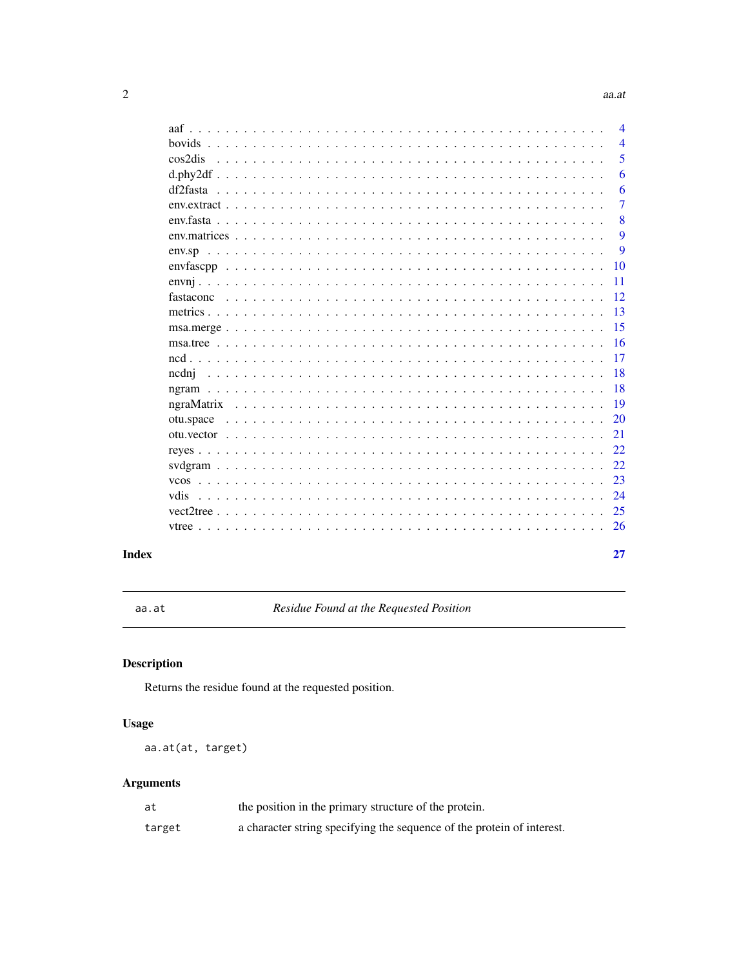# $aa.at$

<span id="page-1-0"></span>

|               | $\overline{\mathcal{A}}$ |
|---------------|--------------------------|
| <b>bovids</b> | $\overline{4}$           |
| cos2dis       | 5                        |
|               | 6                        |
| df2fasta      | 6                        |
|               | 7                        |
|               | 8                        |
|               | 9                        |
|               | 9                        |
|               | 10                       |
|               | 11                       |
|               | 12                       |
|               | 13                       |
|               | 15                       |
|               | 16                       |
|               | 17                       |
| ncdni         | 18                       |
|               | 18                       |
|               | 19                       |
| otu.space     | 20                       |
|               | 21                       |
|               | 22                       |
|               | 22.                      |
| <b>VCOS</b>   | 23                       |
| vdis          | 24                       |
| vector 2tree  | 25                       |
|               | 26                       |
|               | 27                       |

# **Index**

aa.at

Residue Found at the Requested Position

# $\begin{minipage}[c]{0.4\linewidth} \textbf{Description} \end{minipage} \vspace{-0.3cm}$

Returns the residue found at the requested position.

# **Usage**

aa.at(at, target)

# **Arguments**

| at     | the position in the primary structure of the protein.                  |
|--------|------------------------------------------------------------------------|
| target | a character string specifying the sequence of the protein of interest. |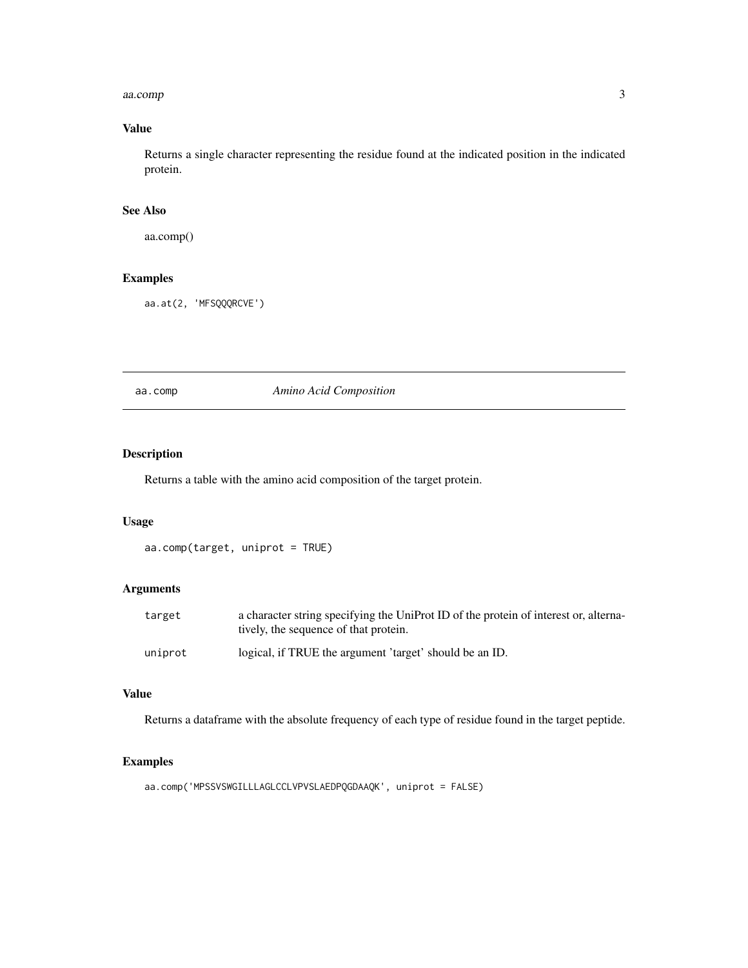#### <span id="page-2-0"></span>aa.comp 3

# Value

Returns a single character representing the residue found at the indicated position in the indicated protein.

# See Also

aa.comp()

# Examples

aa.at(2, 'MFSQQQRCVE')

aa.comp *Amino Acid Composition*

# Description

Returns a table with the amino acid composition of the target protein.

# Usage

```
aa.comp(target, uniprot = TRUE)
```
# Arguments

| target  | a character string specifying the UniProt ID of the protein of interest or, alterna-<br>tively, the sequence of that protein. |
|---------|-------------------------------------------------------------------------------------------------------------------------------|
| uniprot | logical, if TRUE the argument 'target' should be an ID.                                                                       |

# Value

Returns a dataframe with the absolute frequency of each type of residue found in the target peptide.

# Examples

```
aa.comp('MPSSVSWGILLLAGLCCLVPVSLAEDPQGDAAQK', uniprot = FALSE)
```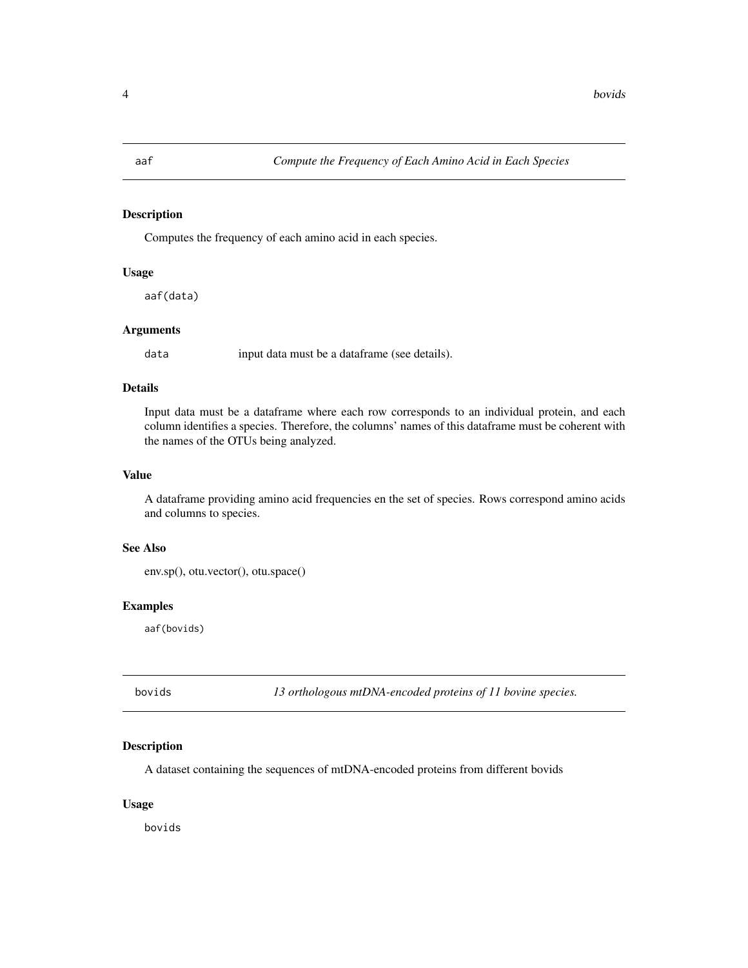Computes the frequency of each amino acid in each species.

#### Usage

aaf(data)

# Arguments

data input data must be a dataframe (see details).

# Details

Input data must be a dataframe where each row corresponds to an individual protein, and each column identifies a species. Therefore, the columns' names of this dataframe must be coherent with the names of the OTUs being analyzed.

# Value

A dataframe providing amino acid frequencies en the set of species. Rows correspond amino acids and columns to species.

#### See Also

env.sp(), otu.vector(), otu.space()

#### Examples

aaf(bovids)

bovids *13 orthologous mtDNA-encoded proteins of 11 bovine species.*

# Description

A dataset containing the sequences of mtDNA-encoded proteins from different bovids

#### Usage

bovids

<span id="page-3-0"></span>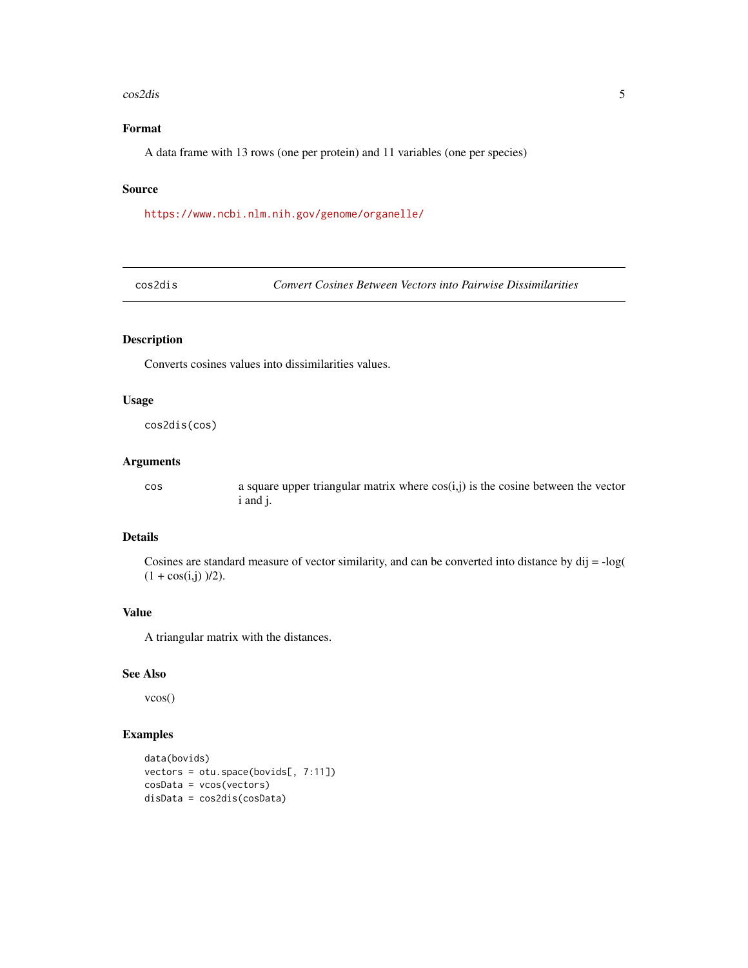#### <span id="page-4-0"></span>cos2dis 5

# Format

A data frame with 13 rows (one per protein) and 11 variables (one per species)

# Source

<https://www.ncbi.nlm.nih.gov/genome/organelle/>

cos2dis *Convert Cosines Between Vectors into Pairwise Dissimilarities*

# Description

Converts cosines values into dissimilarities values.

#### Usage

cos2dis(cos)

#### Arguments

 $\cos$  a square upper triangular matrix where  $\cos(i, j)$  is the cosine between the vector i and j.

#### Details

Cosines are standard measure of vector similarity, and can be converted into distance by dij = -log(  $(1 + \cos(i, j))$  /2).

# Value

A triangular matrix with the distances.

# See Also

vcos()

# Examples

```
data(bovids)
vectors = otu.space(bovids[, 7:11])
cosData = vcos(vectors)
disData = cos2dis(cosData)
```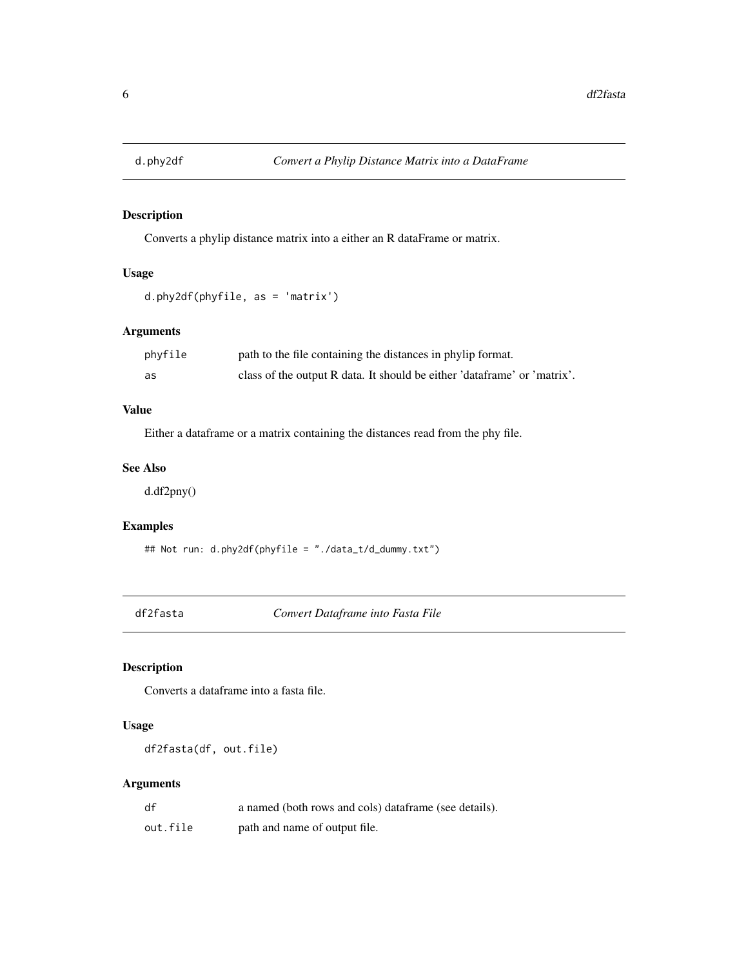<span id="page-5-0"></span>

Converts a phylip distance matrix into a either an R dataFrame or matrix.

# Usage

```
d.phy2df(phyfile, as = 'matrix')
```
# Arguments

| phyfile | path to the file containing the distances in phylip format.              |
|---------|--------------------------------------------------------------------------|
| as      | class of the output R data. It should be either 'dataframe' or 'matrix'. |

# Value

Either a dataframe or a matrix containing the distances read from the phy file.

#### See Also

d.df2pny()

# Examples

## Not run: d.phy2df(phyfile = "./data\_t/d\_dummy.txt")

df2fasta *Convert Dataframe into Fasta File*

# Description

Converts a dataframe into a fasta file.

# Usage

df2fasta(df, out.file)

# Arguments

| df       | a named (both rows and cols) dataframe (see details). |
|----------|-------------------------------------------------------|
| out.file | path and name of output file.                         |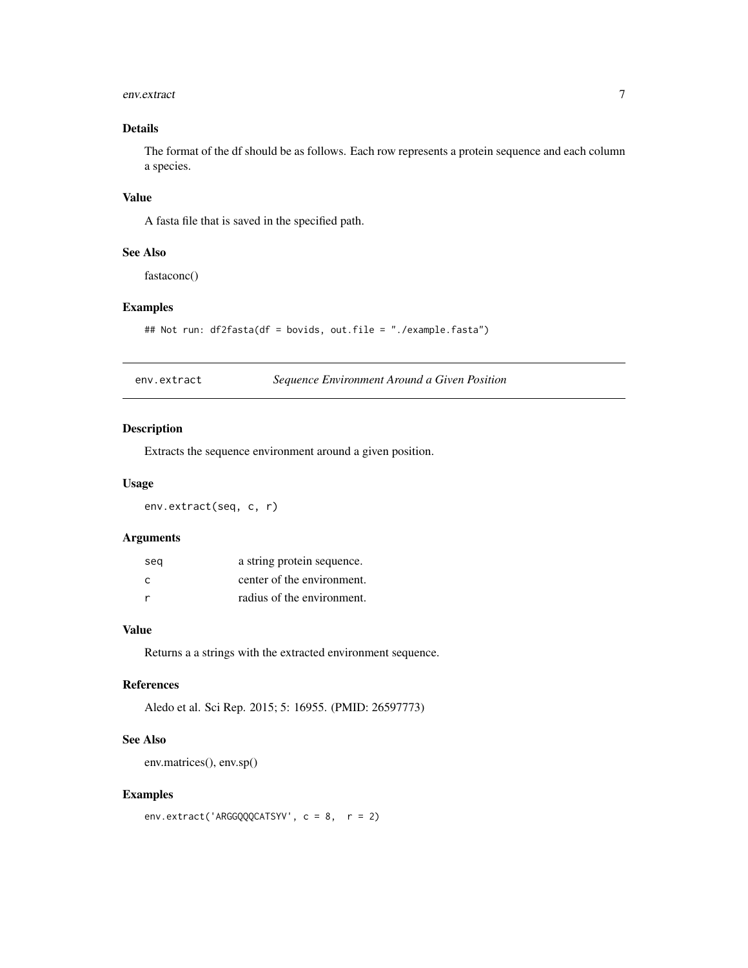#### <span id="page-6-0"></span>env.extract 7

# Details

The format of the df should be as follows. Each row represents a protein sequence and each column a species.

# Value

A fasta file that is saved in the specified path.

# See Also

fastaconc()

### Examples

```
## Not run: df2fasta(df = bovids, out.file = "./example.fasta")
```
env.extract *Sequence Environment Around a Given Position*

# Description

Extracts the sequence environment around a given position.

# Usage

env.extract(seq, c, r)

# Arguments

| seg | a string protein sequence. |
|-----|----------------------------|
| C   | center of the environment. |
|     | radius of the environment. |

# Value

Returns a a strings with the extracted environment sequence.

# References

Aledo et al. Sci Rep. 2015; 5: 16955. (PMID: 26597773)

# See Also

env.matrices(), env.sp()

# Examples

```
env.extract('ARGGQQQCATSYV', c = 8, r = 2)
```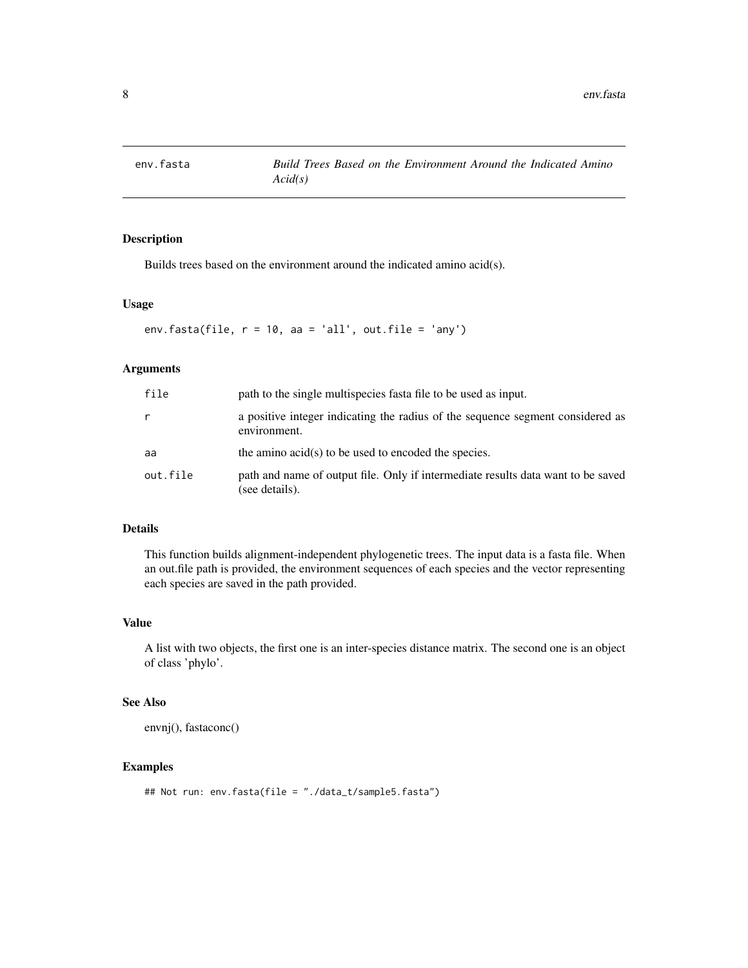<span id="page-7-0"></span>

Builds trees based on the environment around the indicated amino acid(s).

# Usage

env.fasta(file,  $r = 10$ , aa = 'all', out.file = 'any')

# Arguments

| file     | path to the single multispecies fasta file to be used as input.                                    |
|----------|----------------------------------------------------------------------------------------------------|
| r        | a positive integer indicating the radius of the sequence segment considered as<br>environment.     |
| aa       | the amino acid(s) to be used to encoded the species.                                               |
| out.file | path and name of output file. Only if intermediate results data want to be saved<br>(see details). |

## Details

This function builds alignment-independent phylogenetic trees. The input data is a fasta file. When an out.file path is provided, the environment sequences of each species and the vector representing each species are saved in the path provided.

#### Value

A list with two objects, the first one is an inter-species distance matrix. The second one is an object of class 'phylo'.

# See Also

envnj(), fastaconc()

# Examples

```
## Not run: env.fasta(file = "./data_t/sample5.fasta")
```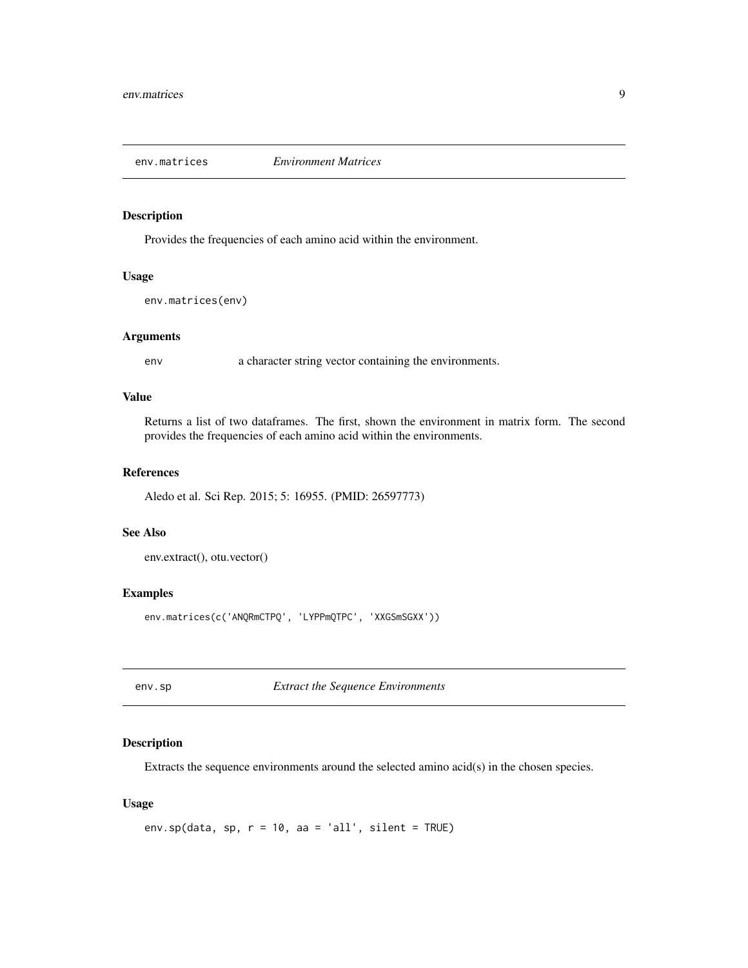<span id="page-8-0"></span>

Provides the frequencies of each amino acid within the environment.

# Usage

env.matrices(env)

# Arguments

env a character string vector containing the environments.

# Value

Returns a list of two dataframes. The first, shown the environment in matrix form. The second provides the frequencies of each amino acid within the environments.

# References

Aledo et al. Sci Rep. 2015; 5: 16955. (PMID: 26597773)

# See Also

env.extract(), otu.vector()

# Examples

env.matrices(c('ANQRmCTPQ', 'LYPPmQTPC', 'XXGSmSGXX'))

env.sp *Extract the Sequence Environments*

## Description

Extracts the sequence environments around the selected amino acid(s) in the chosen species.

#### Usage

```
env.sp(data, sp, r = 10, aa = 'all', silent = TRUE)
```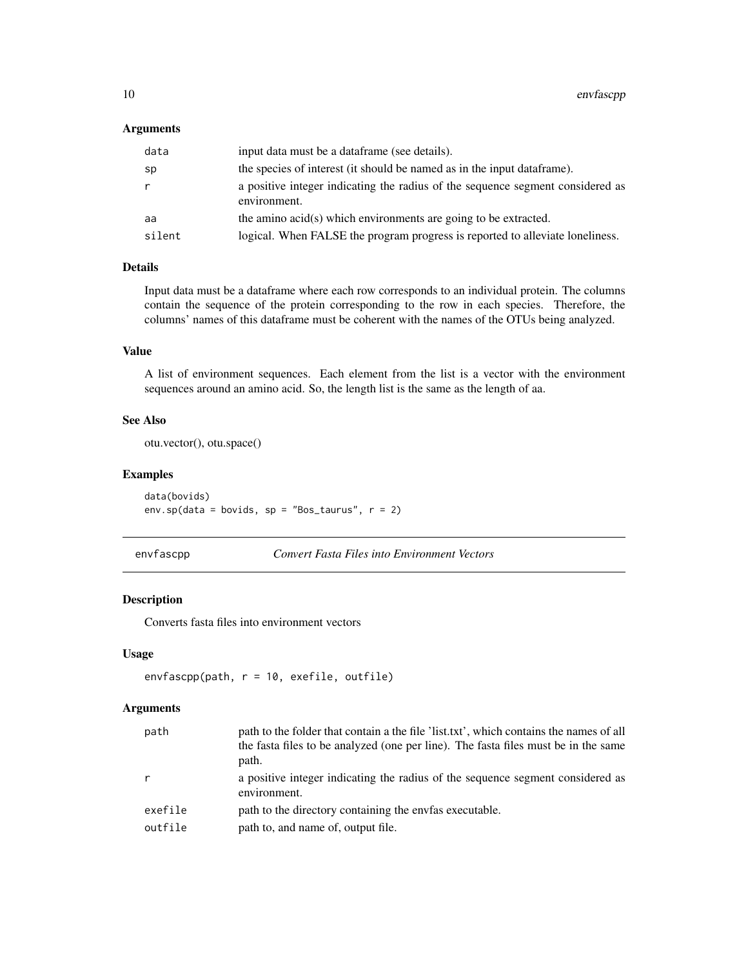# <span id="page-9-0"></span>Arguments

| data   | input data must be a dataframe (see details).                                                  |
|--------|------------------------------------------------------------------------------------------------|
| sp     | the species of interest (it should be named as in the input data frame).                       |
| r      | a positive integer indicating the radius of the sequence segment considered as<br>environment. |
| aa     | the amino acid(s) which environments are going to be extracted.                                |
| silent | logical. When FALSE the program progress is reported to alleviate loneliness.                  |

# Details

Input data must be a dataframe where each row corresponds to an individual protein. The columns contain the sequence of the protein corresponding to the row in each species. Therefore, the columns' names of this dataframe must be coherent with the names of the OTUs being analyzed.

# Value

A list of environment sequences. Each element from the list is a vector with the environment sequences around an amino acid. So, the length list is the same as the length of aa.

# See Also

otu.vector(), otu.space()

#### Examples

data(bovids) env.sp(data = bovids, sp = "Bos\_taurus",  $r = 2$ )

# envfascpp *Convert Fasta Files into Environment Vectors*

# Description

Converts fasta files into environment vectors

#### Usage

```
envfascpp(path, r = 10, exefile, outfile)
```
# Arguments

| path    | path to the folder that contain a the file 'list.txt', which contains the names of all<br>the fasta files to be analyzed (one per line). The fasta files must be in the same<br>path. |
|---------|---------------------------------------------------------------------------------------------------------------------------------------------------------------------------------------|
| r       | a positive integer indicating the radius of the sequence segment considered as<br>environment.                                                                                        |
| exefile | path to the directory containing the envfas executable.                                                                                                                               |
| outfile | path to, and name of, output file.                                                                                                                                                    |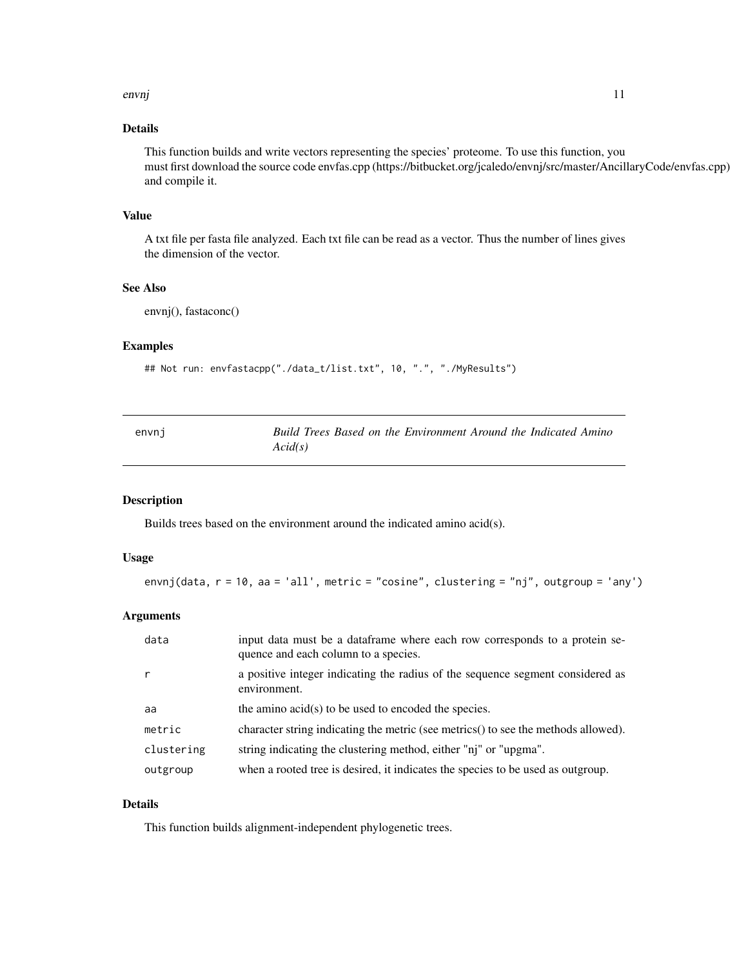#### <span id="page-10-0"></span>envnj 11

# Details

This function builds and write vectors representing the species' proteome. To use this function, you must first download the source code envfas.cpp (https://bitbucket.org/jcaledo/envnj/src/master/AncillaryCode/envfas.cpp) and compile it.

# Value

A txt file per fasta file analyzed. Each txt file can be read as a vector. Thus the number of lines gives the dimension of the vector.

# See Also

envnj(), fastaconc()

# Examples

```
## Not run: envfastacpp("./data_t/list.txt", 10, ".", "./MyResults")
```

| envni | Build Trees Based on the Environment Around the Indicated Amino |
|-------|-----------------------------------------------------------------|
|       | Acid(s)                                                         |

## Description

Builds trees based on the environment around the indicated amino acid(s).

#### Usage

```
envnj(data, r = 10, aa = 'all', metric = "cosine", clustering = "nj", outgroup = 'any')
```
#### Arguments

| data       | input data must be a dataframe where each row corresponds to a protein se-<br>quence and each column to a species. |
|------------|--------------------------------------------------------------------------------------------------------------------|
|            | a positive integer indicating the radius of the sequence segment considered as<br>environment.                     |
| aa         | the amino acid(s) to be used to encoded the species.                                                               |
| metric     | character string indicating the metric (see metrics) to see the methods allowed).                                  |
| clustering | string indicating the clustering method, either "ni" or "upgma".                                                   |
| outgroup   | when a rooted tree is desired, it indicates the species to be used as outgroup.                                    |

#### Details

This function builds alignment-independent phylogenetic trees.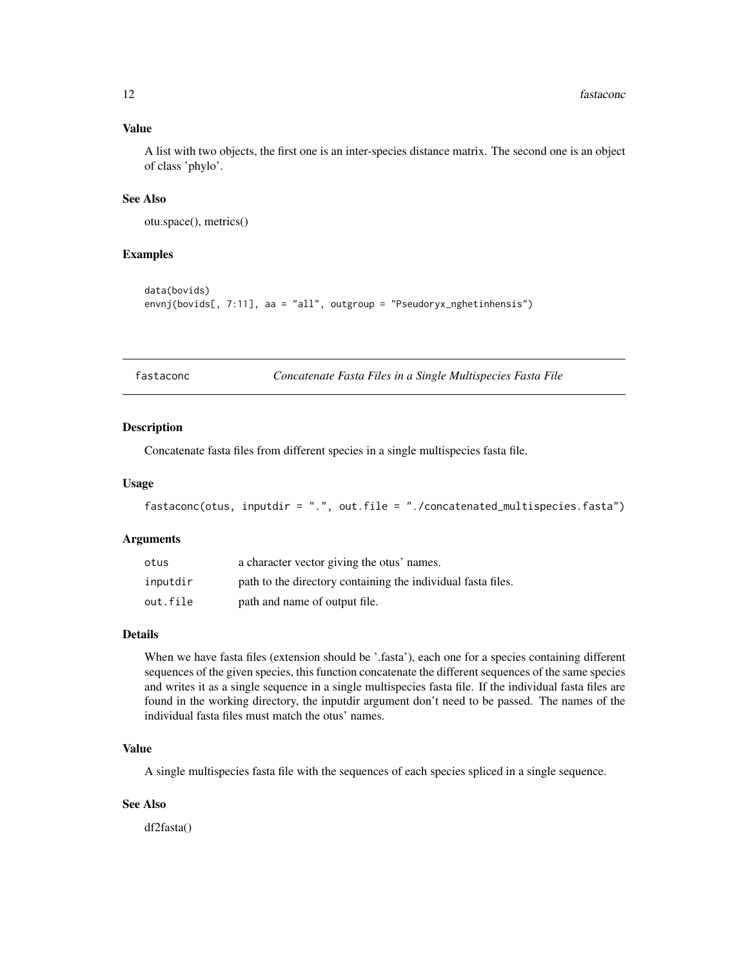## <span id="page-11-0"></span>Value

A list with two objects, the first one is an inter-species distance matrix. The second one is an object of class 'phylo'.

## See Also

otu.space(), metrics()

# Examples

```
data(bovids)
envnj(bovids[, 7:11], aa = "all", outgroup = "Pseudoryx_nghetinhensis")
```
fastaconc *Concatenate Fasta Files in a Single Multispecies Fasta File*

#### Description

Concatenate fasta files from different species in a single multispecies fasta file.

## Usage

```
fastaconc(otus, inputdir = ".", out.file = "./concatenated_multispecies.fasta")
```
# Arguments

| otus     | a character vector giving the otus' names.                   |
|----------|--------------------------------------------------------------|
| inputdir | path to the directory containing the individual fasta files. |
| out.file | path and name of output file.                                |

# Details

When we have fasta files (extension should be '.fasta'), each one for a species containing different sequences of the given species, this function concatenate the different sequences of the same species and writes it as a single sequence in a single multispecies fasta file. If the individual fasta files are found in the working directory, the inputdir argument don't need to be passed. The names of the individual fasta files must match the otus' names.

#### Value

A single multispecies fasta file with the sequences of each species spliced in a single sequence.

# See Also

df2fasta()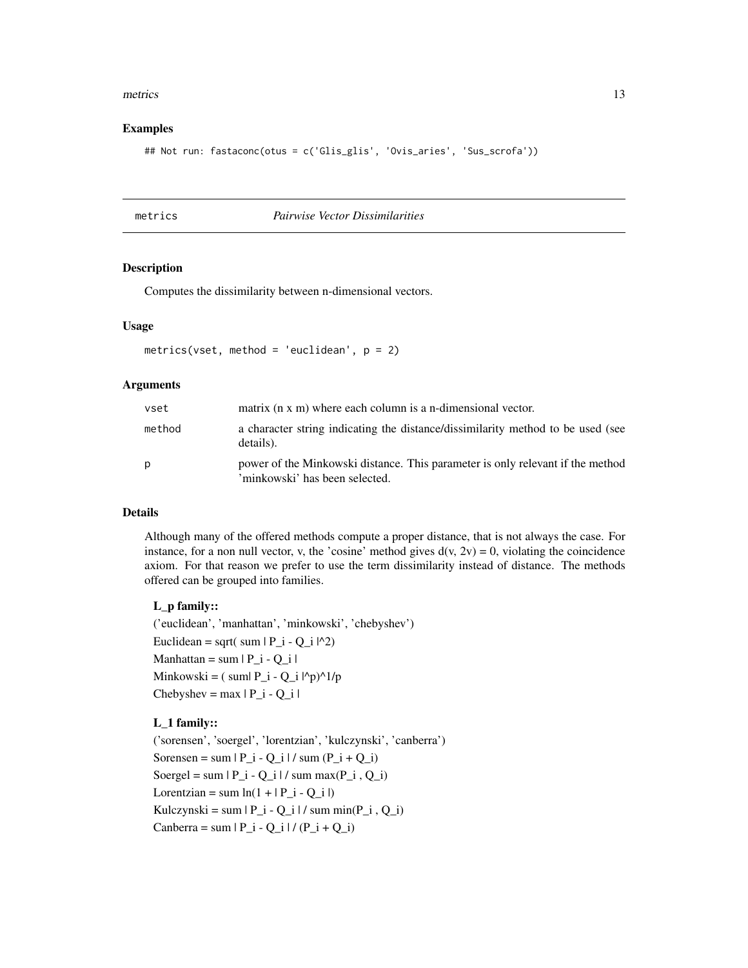#### <span id="page-12-0"></span>metrics 13

#### Examples

```
## Not run: fastaconc(otus = c('Glis_glis', 'Ovis_aries', 'Sus_scrofa'))
```
#### metrics *Pairwise Vector Dissimilarities*

# Description

Computes the dissimilarity between n-dimensional vectors.

#### Usage

metrics(vset, method = 'euclidean',  $p = 2$ )

# Arguments

| vset   | matrix (n x m) where each column is a n-dimensional vector.                                                      |
|--------|------------------------------------------------------------------------------------------------------------------|
| method | a character string indicating the distance/dissimilarity method to be used (see<br>details).                     |
| p      | power of the Minkowski distance. This parameter is only relevant if the method<br>'minkowski' has been selected. |

## Details

Although many of the offered methods compute a proper distance, that is not always the case. For instance, for a non null vector, v, the 'cosine' method gives  $d(v, 2v) = 0$ , violating the coincidence axiom. For that reason we prefer to use the term dissimilarity instead of distance. The methods offered can be grouped into families.

#### L\_p family::

('euclidean', 'manhattan', 'minkowski', 'chebyshev') Euclidean = sqrt( sum  $|P_i - Q_i|^{2}$ ) Manhattan = sum  $|P_i - Q_i|$ Minkowski =  $(\text{sum} P_i - Q_i |P_p)$ <sup>1</sup>/p  $Chebyshev = max | P_i - Q_i |$ 

# L\_1 family::

('sorensen', 'soergel', 'lorentzian', 'kulczynski', 'canberra') Sorensen = sum  $|P_i - Q_i| / \text{sum}(P_i + Q_i)$ Soergel = sum  $|P_i - Q_i|$  / sum max $(P_i, Q_i)$ Lorentzian = sum  $ln(1 + |P_i - Q_i|)$ Kulczynski = sum  $|P_i - Q_i| / \text{sum min}(P_i, Q_i)$ Canberra = sum  $|P_i - Q_i| / (P_i + Q_i)$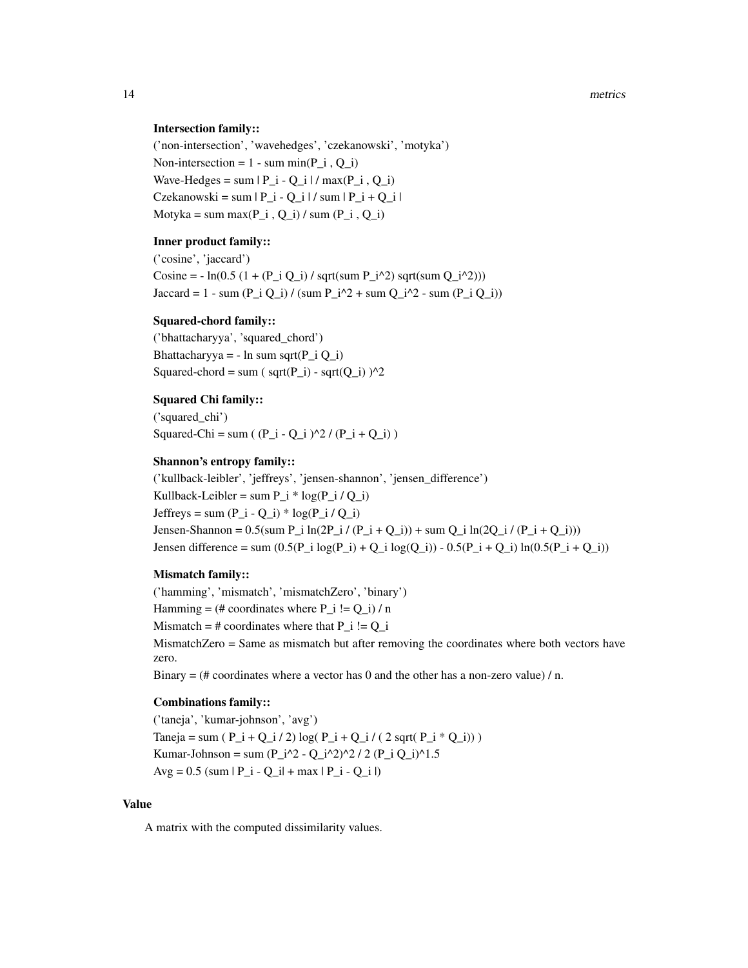#### Intersection family::

('non-intersection', 'wavehedges', 'czekanowski', 'motyka') Non-intersection = 1 - sum min(P i , Q i) Wave-Hedges = sum  $|P_i - Q_i| / max(P_i, Q_i)$  $Czekanowski = sum | P_i - Q_i | / sum | P_i + Q_i |$ Motyka = sum max $(P_i, Q_i) /$  sum  $(P_i, Q_i)$ 

#### Inner product family::

('cosine', 'jaccard') Cosine = -  $ln(0.5 (1 + (P_i Q_i) / sqrt(sum P_i^2))$  sqrt(sum  $Q_i^2)$ )) Jaccard = 1 - sum  $(P_i Q_i) / (sum P_i^2 + sum Q_i^2 - sum (P_i Q_i))$ 

#### Squared-chord family::

('bhattacharyya', 'squared\_chord') Bhattacharyya = - ln sum sqrt $(P_i Q_i)$ Squared-chord = sum ( $sqrt(P_i)$  - sqrt $(Q_i)$ )<sup>^2</sup>

#### Squared Chi family::

('squared\_chi') Squared-Chi = sum (  $(P_i - Q_i)$   $\frac{2}{7}$  /  $(P_i + Q_i)$  )

#### Shannon's entropy family::

('kullback-leibler', 'jeffreys', 'jensen-shannon', 'jensen\_difference') Kullback-Leibler = sum  $P_i * log(P_i / Q_i)$ Jeffreys = sum (P\_i - Q\_i) \* log(P\_i / Q\_i) Jensen-Shannon =  $0.5(\text{sum P_i i} / (P_i + Q_i)) + \text{sum Q_i i} (Q_i / (P_i + Q_i)))$ Jensen difference = sum  $(0.5(P_i i log(P_i) + Q_i i log(Q_i))) - 0.5(P_i i + Q_i i) ln(0.5(P_i + Q_i))$ 

## Mismatch family::

('hamming', 'mismatch', 'mismatchZero', 'binary') Hamming =  $(\#$  coordinates where P i != Q i) / n Mismatch =  $\#$  coordinates where that P\_i != Q\_i MismatchZero = Same as mismatch but after removing the coordinates where both vectors have zero.

Binary  $=$  (# coordinates where a vector has 0 and the other has a non-zero value)  $/$  n.

#### Combinations family::

('taneja', 'kumar-johnson', 'avg') Taneja = sum ( $P_i + Q_i / 2$ ) log( $P_i + Q_i / (2$  sqrt( $P_i * Q_i$ ))) Kumar-Johnson = sum (P\_i^2 - Q\_i^2)^2 / 2 (P\_i Q\_i)^1.5  $Avg = 0.5$  (sum  $|P_i - Q_i| + max |P_i - Q_i|$ )

# Value

A matrix with the computed dissimilarity values.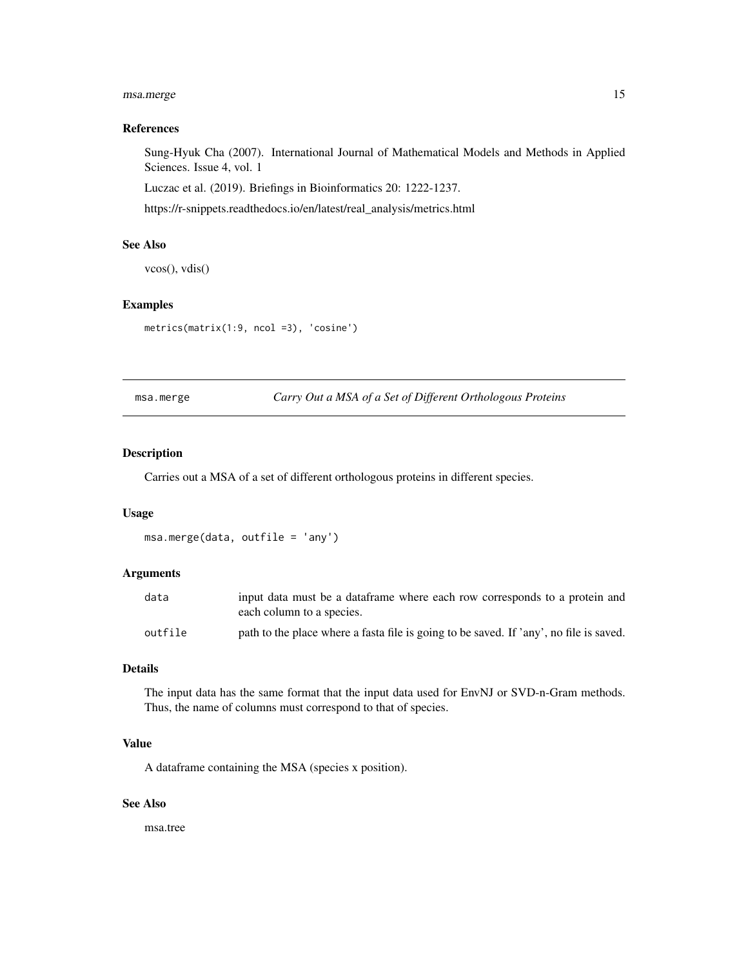# <span id="page-14-0"></span>msa.merge 15

# References

Sung-Hyuk Cha (2007). International Journal of Mathematical Models and Methods in Applied Sciences. Issue 4, vol. 1

Luczac et al. (2019). Briefings in Bioinformatics 20: 1222-1237.

https://r-snippets.readthedocs.io/en/latest/real\_analysis/metrics.html

#### See Also

vcos(), vdis()

# Examples

metrics(matrix(1:9, ncol =3), 'cosine')

msa.merge *Carry Out a MSA of a Set of Different Orthologous Proteins*

# Description

Carries out a MSA of a set of different orthologous proteins in different species.

#### Usage

msa.merge(data, outfile = 'any')

#### Arguments

| data    | input data must be a dataframe where each row corresponds to a protein and<br>each column to a species. |
|---------|---------------------------------------------------------------------------------------------------------|
| outfile | path to the place where a fasta file is going to be saved. If 'any', no file is saved.                  |

#### Details

The input data has the same format that the input data used for EnvNJ or SVD-n-Gram methods. Thus, the name of columns must correspond to that of species.

## Value

A dataframe containing the MSA (species x position).

## See Also

msa.tree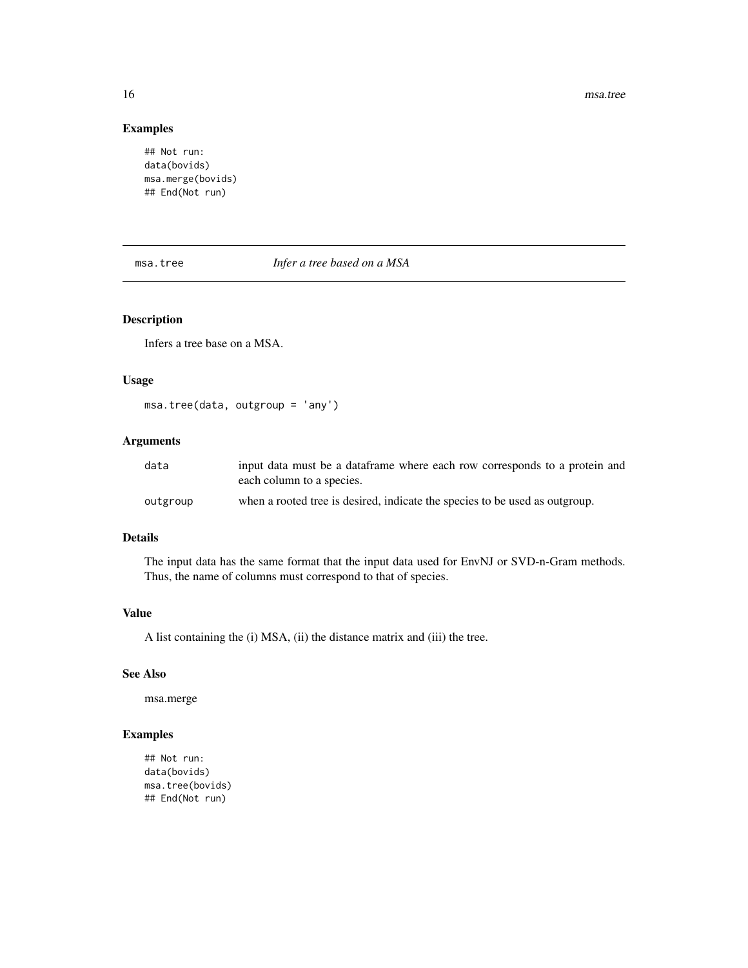16 msa.tree

# Examples

## Not run: data(bovids) msa.merge(bovids) ## End(Not run)

# msa.tree *Infer a tree based on a MSA*

# Description

Infers a tree base on a MSA.

#### Usage

msa.tree(data, outgroup = 'any')

#### Arguments

| data     | input data must be a dataframe where each row corresponds to a protein and<br>each column to a species. |
|----------|---------------------------------------------------------------------------------------------------------|
| outgroup | when a rooted tree is desired, indicate the species to be used as outgroup.                             |

# Details

The input data has the same format that the input data used for EnvNJ or SVD-n-Gram methods. Thus, the name of columns must correspond to that of species.

#### Value

A list containing the (i) MSA, (ii) the distance matrix and (iii) the tree.

# See Also

msa.merge

# Examples

## Not run: data(bovids) msa.tree(bovids) ## End(Not run)

<span id="page-15-0"></span>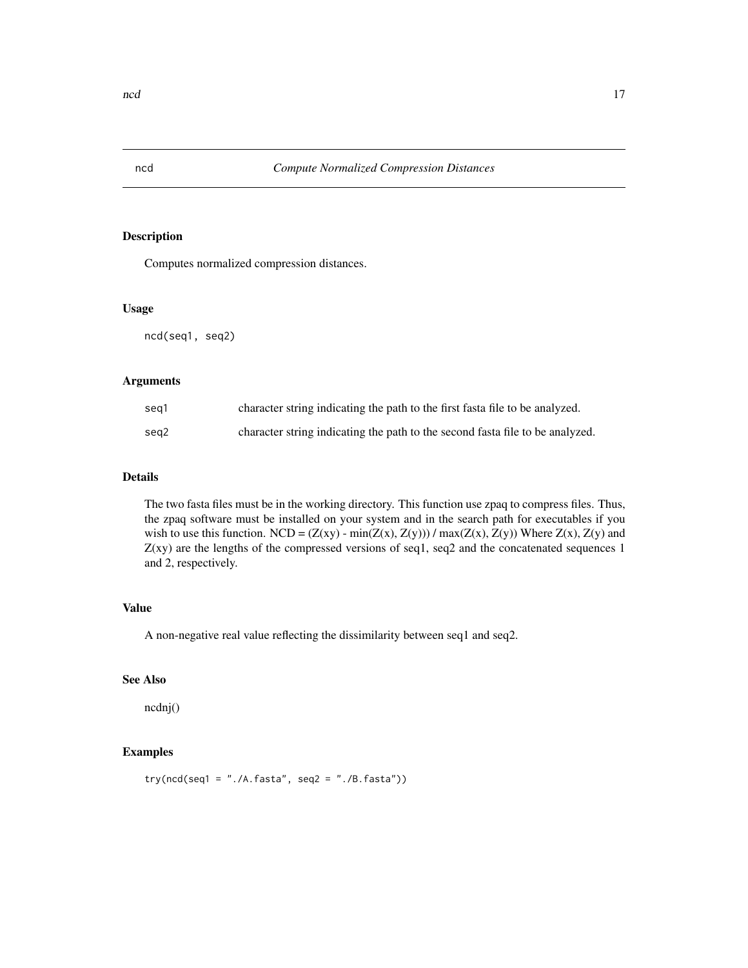<span id="page-16-0"></span>

Computes normalized compression distances.

# Usage

ncd(seq1, seq2)

#### Arguments

| sea1 | character string indicating the path to the first fasta file to be analyzed.  |
|------|-------------------------------------------------------------------------------|
| sea2 | character string indicating the path to the second fasta file to be analyzed. |

# Details

The two fasta files must be in the working directory. This function use zpaq to compress files. Thus, the zpaq software must be installed on your system and in the search path for executables if you wish to use this function. NCD =  $(Z(xy)$  - min $(Z(x), Z(y))$  / max $(Z(x), Z(y))$  Where  $Z(x), Z(y)$  and  $Z(xy)$  are the lengths of the compressed versions of seq1, seq2 and the concatenated sequences 1 and 2, respectively.

# Value

A non-negative real value reflecting the dissimilarity between seq1 and seq2.

# See Also

ncdnj()

# Examples

 $try(ncd(seq1 = "./A.fasta", seq2 = "./B.fasta"))$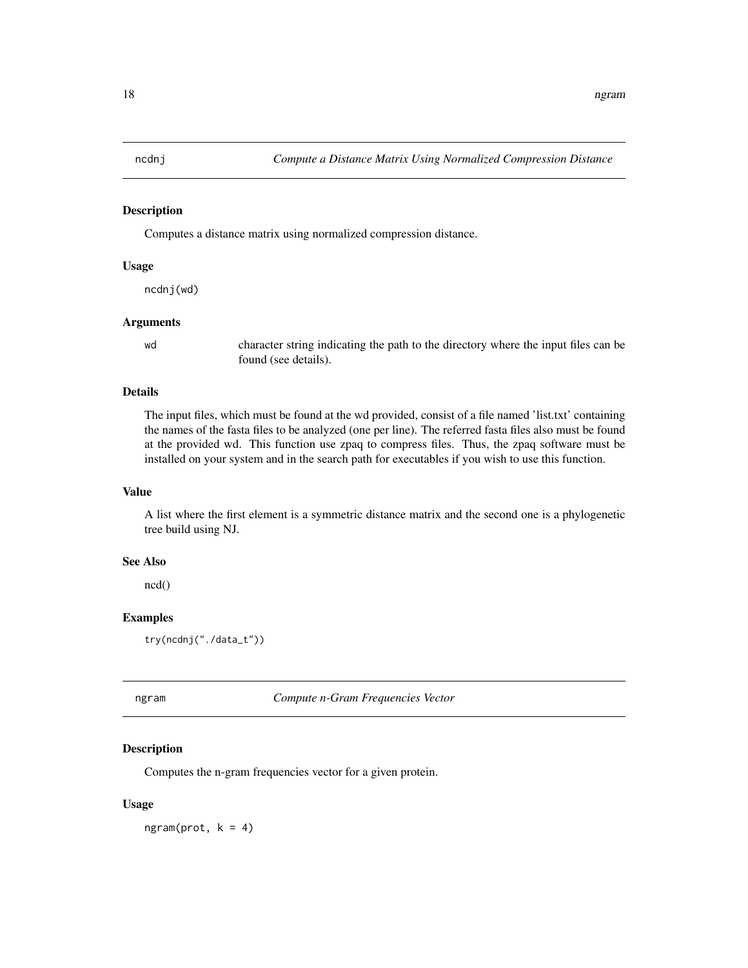<span id="page-17-0"></span>

Computes a distance matrix using normalized compression distance.

#### Usage

ncdnj(wd)

#### Arguments

wd character string indicating the path to the directory where the input files can be found (see details).

# Details

The input files, which must be found at the wd provided, consist of a file named 'list.txt' containing the names of the fasta files to be analyzed (one per line). The referred fasta files also must be found at the provided wd. This function use zpaq to compress files. Thus, the zpaq software must be installed on your system and in the search path for executables if you wish to use this function.

# Value

A list where the first element is a symmetric distance matrix and the second one is a phylogenetic tree build using NJ.

#### See Also

ncd()

# Examples

try(ncdnj("./data\_t"))

ngram *Compute n-Gram Frequencies Vector*

#### Description

Computes the n-gram frequencies vector for a given protein.

#### Usage

 $ngram(prot, k = 4)$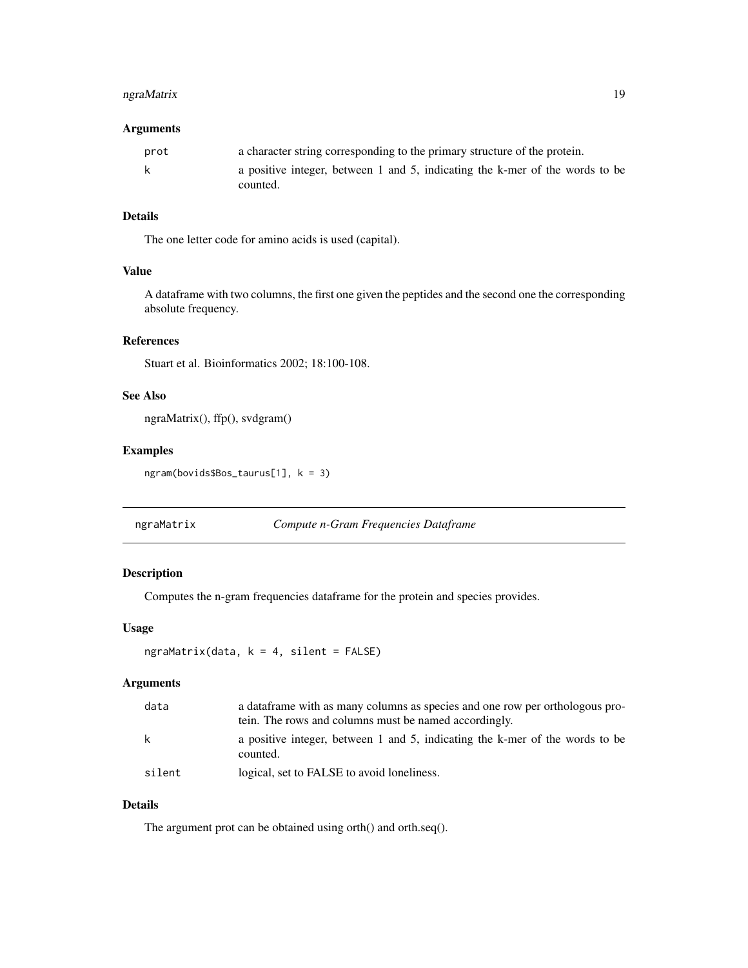# <span id="page-18-0"></span>ngraMatrix 19

## Arguments

| prot | a character string corresponding to the primary structure of the protein.                |
|------|------------------------------------------------------------------------------------------|
| -k   | a positive integer, between 1 and 5, indicating the k-mer of the words to be<br>counted. |
|      |                                                                                          |

# Details

The one letter code for amino acids is used (capital).

# Value

A dataframe with two columns, the first one given the peptides and the second one the corresponding absolute frequency.

# References

Stuart et al. Bioinformatics 2002; 18:100-108.

# See Also

```
ngraMatrix(), ffp(), svdgram()
```
# Examples

ngram(bovids\$Bos\_taurus[1], k = 3)

ngraMatrix *Compute n-Gram Frequencies Dataframe*

# Description

Computes the n-gram frequencies dataframe for the protein and species provides.

#### Usage

```
ngraMatrix(data, k = 4, silent = FALSE)
```
#### Arguments

| data   | a data frame with as many columns as species and one row per orthologous pro-<br>tein. The rows and columns must be named accordingly. |
|--------|----------------------------------------------------------------------------------------------------------------------------------------|
| k      | a positive integer, between 1 and 5, indicating the k-mer of the words to be<br>counted.                                               |
| silent | logical, set to FALSE to avoid loneliness.                                                                                             |

# Details

The argument prot can be obtained using orth() and orth.seq().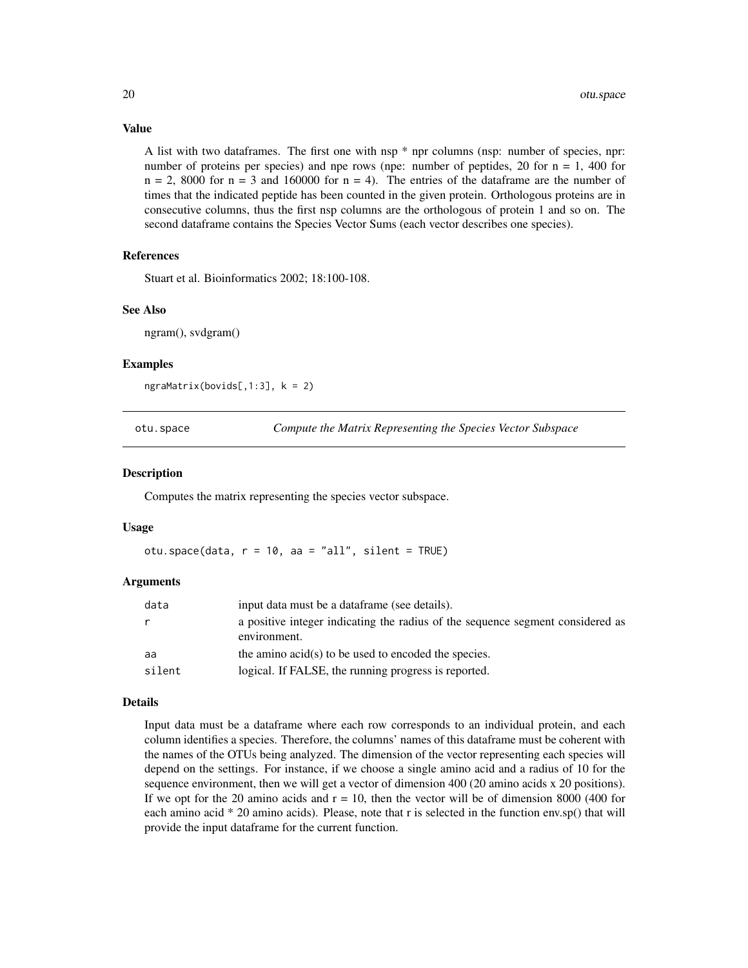#### Value

A list with two dataframes. The first one with nsp \* npr columns (nsp: number of species, npr: number of proteins per species) and npe rows (npe: number of peptides, 20 for  $n = 1$ , 400 for  $n = 2$ , 8000 for  $n = 3$  and 160000 for  $n = 4$ ). The entries of the dataframe are the number of times that the indicated peptide has been counted in the given protein. Orthologous proteins are in consecutive columns, thus the first nsp columns are the orthologous of protein 1 and so on. The second dataframe contains the Species Vector Sums (each vector describes one species).

# References

Stuart et al. Bioinformatics 2002; 18:100-108.

#### See Also

ngram(), svdgram()

#### Examples

ngraMatrix(bovids[,1:3], k = 2)

otu.space *Compute the Matrix Representing the Species Vector Subspace*

#### **Description**

Computes the matrix representing the species vector subspace.

#### Usage

otu.space(data,  $r = 10$ , aa = "all", silent = TRUE)

#### Arguments

| data   | input data must be a dataframe (see details).                                                  |
|--------|------------------------------------------------------------------------------------------------|
|        | a positive integer indicating the radius of the sequence segment considered as<br>environment. |
| aa     | the amino acid(s) to be used to encoded the species.                                           |
| silent | logical. If FALSE, the running progress is reported.                                           |

#### Details

Input data must be a dataframe where each row corresponds to an individual protein, and each column identifies a species. Therefore, the columns' names of this dataframe must be coherent with the names of the OTUs being analyzed. The dimension of the vector representing each species will depend on the settings. For instance, if we choose a single amino acid and a radius of 10 for the sequence environment, then we will get a vector of dimension 400 (20 amino acids x 20 positions). If we opt for the 20 amino acids and  $r = 10$ , then the vector will be of dimension 8000 (400 for each amino acid \* 20 amino acids). Please, note that r is selected in the function env.sp() that will provide the input dataframe for the current function.

<span id="page-19-0"></span>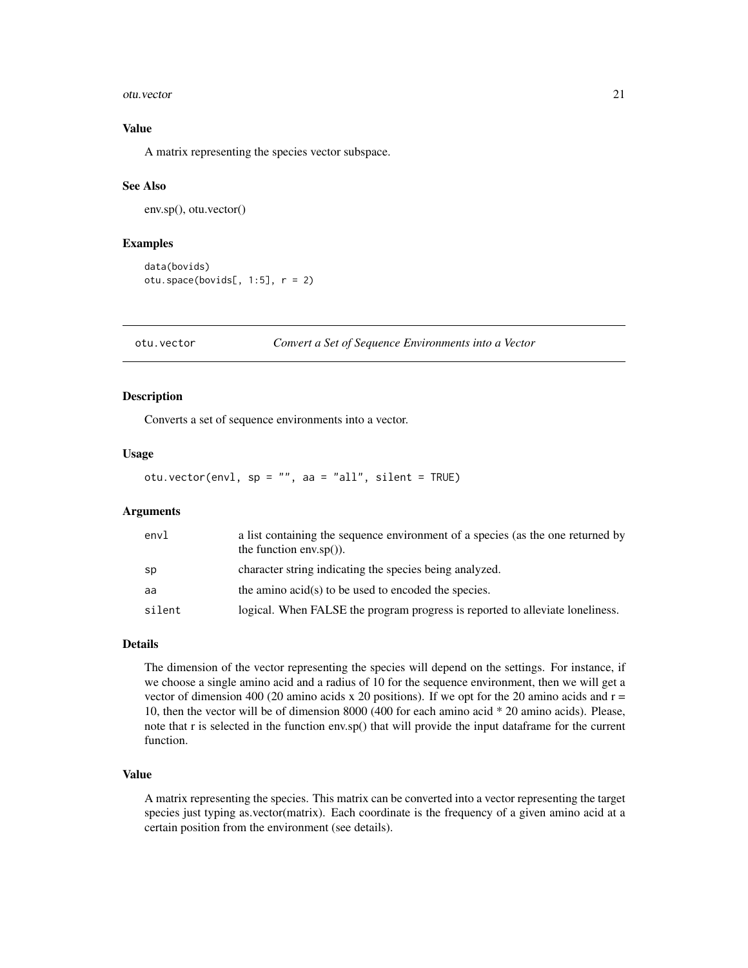#### <span id="page-20-0"></span>otu.vector 21

# Value

A matrix representing the species vector subspace.

#### See Also

env.sp(), otu.vector()

#### Examples

```
data(bovids)
otu.space(bovids[, 1:5], r = 2)
```
otu.vector *Convert a Set of Sequence Environments into a Vector*

# Description

Converts a set of sequence environments into a vector.

#### Usage

otu.vector(envl, sp = "", aa = "all", silent = TRUE)

### Arguments

| envl   | a list containing the sequence environment of a species (as the one returned by<br>the function $env.\text{sp}()$ . |
|--------|---------------------------------------------------------------------------------------------------------------------|
| sp     | character string indicating the species being analyzed.                                                             |
| aa     | the amino acid(s) to be used to encoded the species.                                                                |
| silent | logical. When FALSE the program progress is reported to alleviate loneliness.                                       |

#### Details

The dimension of the vector representing the species will depend on the settings. For instance, if we choose a single amino acid and a radius of 10 for the sequence environment, then we will get a vector of dimension 400 (20 amino acids x 20 positions). If we opt for the 20 amino acids and  $r =$ 10, then the vector will be of dimension 8000 (400 for each amino acid \* 20 amino acids). Please, note that r is selected in the function env.sp() that will provide the input dataframe for the current function.

# Value

A matrix representing the species. This matrix can be converted into a vector representing the target species just typing as.vector(matrix). Each coordinate is the frequency of a given amino acid at a certain position from the environment (see details).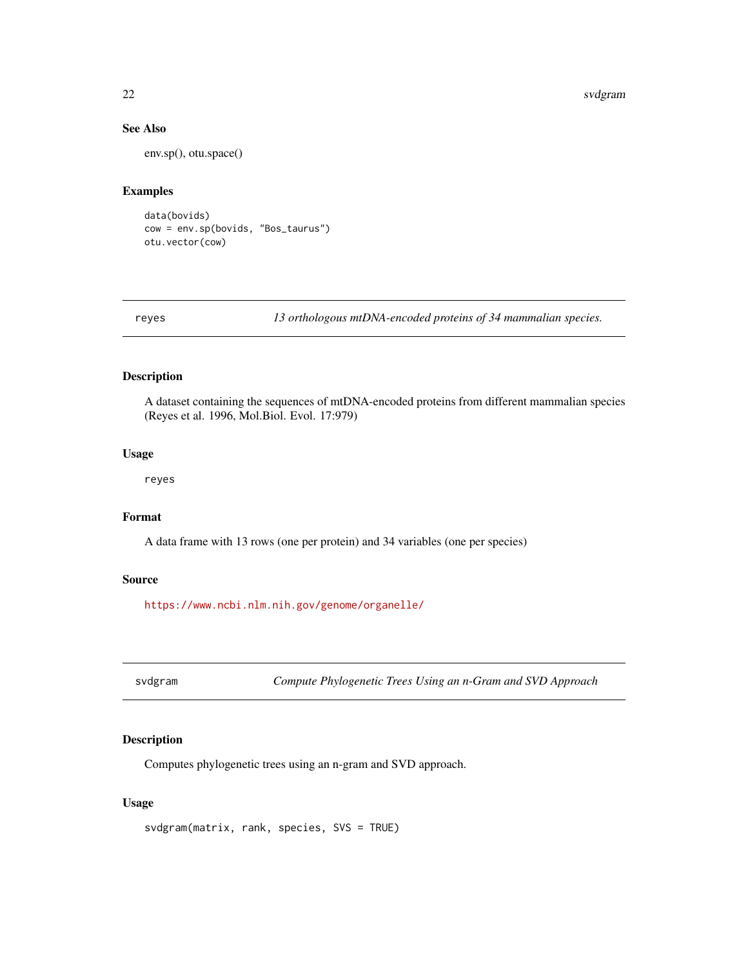#### 22 svdgram i Svetske konstantine i Svetske konstantine i Svetske konstantine i Svetske konstantine i Svetske k

# See Also

env.sp(), otu.space()

#### Examples

data(bovids) cow = env.sp(bovids, "Bos\_taurus") otu.vector(cow)

reyes *13 orthologous mtDNA-encoded proteins of 34 mammalian species.*

# Description

A dataset containing the sequences of mtDNA-encoded proteins from different mammalian species (Reyes et al. 1996, Mol.Biol. Evol. 17:979)

#### Usage

reyes

# Format

A data frame with 13 rows (one per protein) and 34 variables (one per species)

#### Source

<https://www.ncbi.nlm.nih.gov/genome/organelle/>

svdgram *Compute Phylogenetic Trees Using an n-Gram and SVD Approach*

# Description

Computes phylogenetic trees using an n-gram and SVD approach.

#### Usage

```
svdgram(matrix, rank, species, SVS = TRUE)
```
<span id="page-21-0"></span>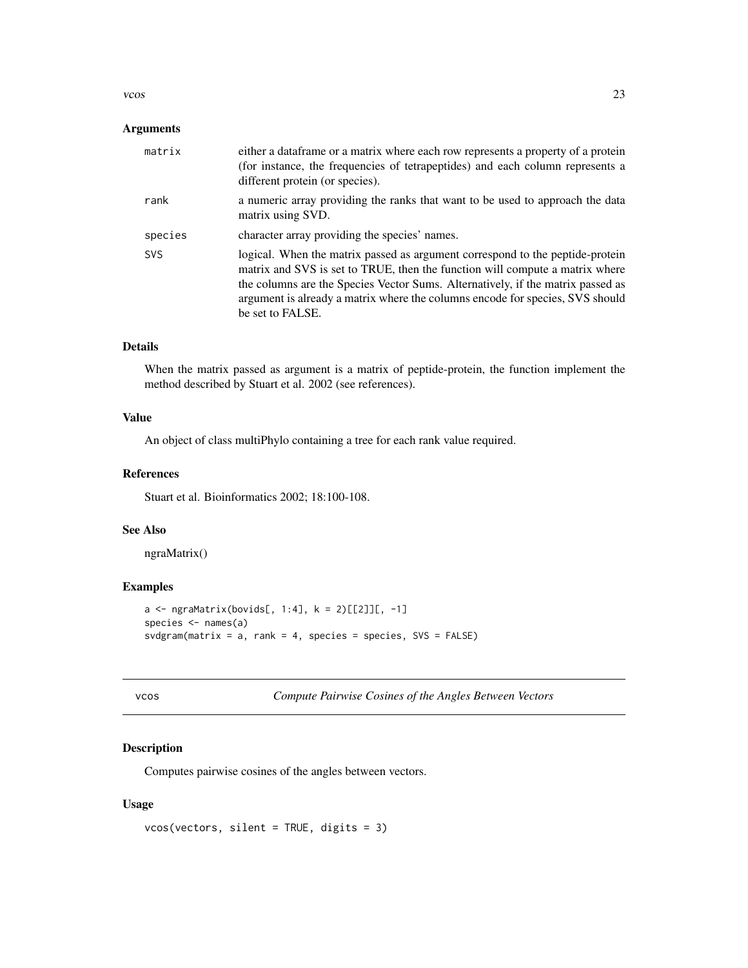#### <span id="page-22-0"></span> $\cos$  23

#### Arguments

| matrix     | either a data frame or a matrix where each row represents a property of a protein<br>(for instance, the frequencies of tetrapeptides) and each column represents a<br>different protein (or species).                                                                                                                                                 |
|------------|-------------------------------------------------------------------------------------------------------------------------------------------------------------------------------------------------------------------------------------------------------------------------------------------------------------------------------------------------------|
| rank       | a numeric array providing the ranks that want to be used to approach the data<br>matrix using SVD.                                                                                                                                                                                                                                                    |
| species    | character array providing the species' names.                                                                                                                                                                                                                                                                                                         |
| <b>SVS</b> | logical. When the matrix passed as argument correspond to the peptide-protein<br>matrix and SVS is set to TRUE, then the function will compute a matrix where<br>the columns are the Species Vector Sums. Alternatively, if the matrix passed as<br>argument is already a matrix where the columns encode for species, SVS should<br>be set to FALSE. |

# Details

When the matrix passed as argument is a matrix of peptide-protein, the function implement the method described by Stuart et al. 2002 (see references).

# Value

An object of class multiPhylo containing a tree for each rank value required.

# References

Stuart et al. Bioinformatics 2002; 18:100-108.

# See Also

ngraMatrix()

# Examples

```
a \leq ngraMatrix(bovids[, 1:4], k = 2)[[2]][, -1]
species \leq names(a)
svdgram(matrix = a, rank = 4, species = species, SVS = FALSE)
```

| × | ٠<br>. | n a |
|---|--------|-----|
|   |        |     |

s **Compute Pairwise Cosines of the Angles Between Vectors** 

# Description

Computes pairwise cosines of the angles between vectors.

#### Usage

```
vcos(vectors, silent = TRUE, digits = 3)
```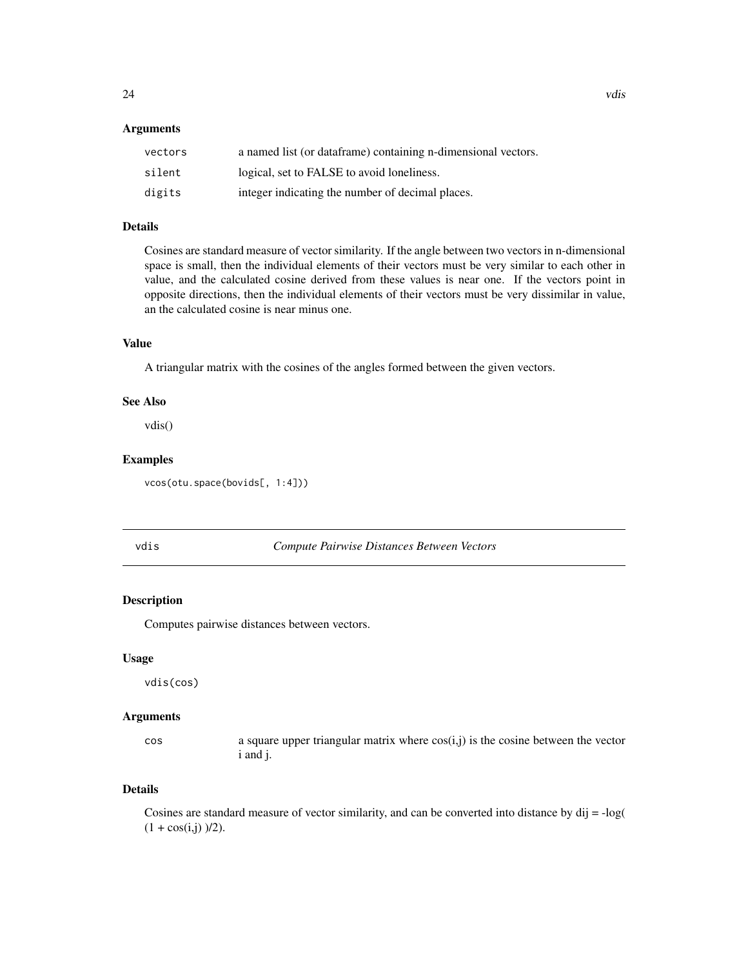#### <span id="page-23-0"></span>Arguments

| vectors | a named list (or dataframe) containing n-dimensional vectors. |
|---------|---------------------------------------------------------------|
| silent  | logical, set to FALSE to avoid loneliness.                    |
| digits  | integer indicating the number of decimal places.              |

#### Details

Cosines are standard measure of vector similarity. If the angle between two vectors in n-dimensional space is small, then the individual elements of their vectors must be very similar to each other in value, and the calculated cosine derived from these values is near one. If the vectors point in opposite directions, then the individual elements of their vectors must be very dissimilar in value, an the calculated cosine is near minus one.

# Value

A triangular matrix with the cosines of the angles formed between the given vectors.

#### See Also

vdis()

#### Examples

vcos(otu.space(bovids[, 1:4]))

vdis *Compute Pairwise Distances Between Vectors*

# Description

Computes pairwise distances between vectors.

# Usage

vdis(cos)

#### Arguments

 $\cos$  a square upper triangular matrix where  $\cos(i,j)$  is the cosine between the vector i and j.

# Details

Cosines are standard measure of vector similarity, and can be converted into distance by dij = -log(  $(1 + \cos(i, j))$  /2).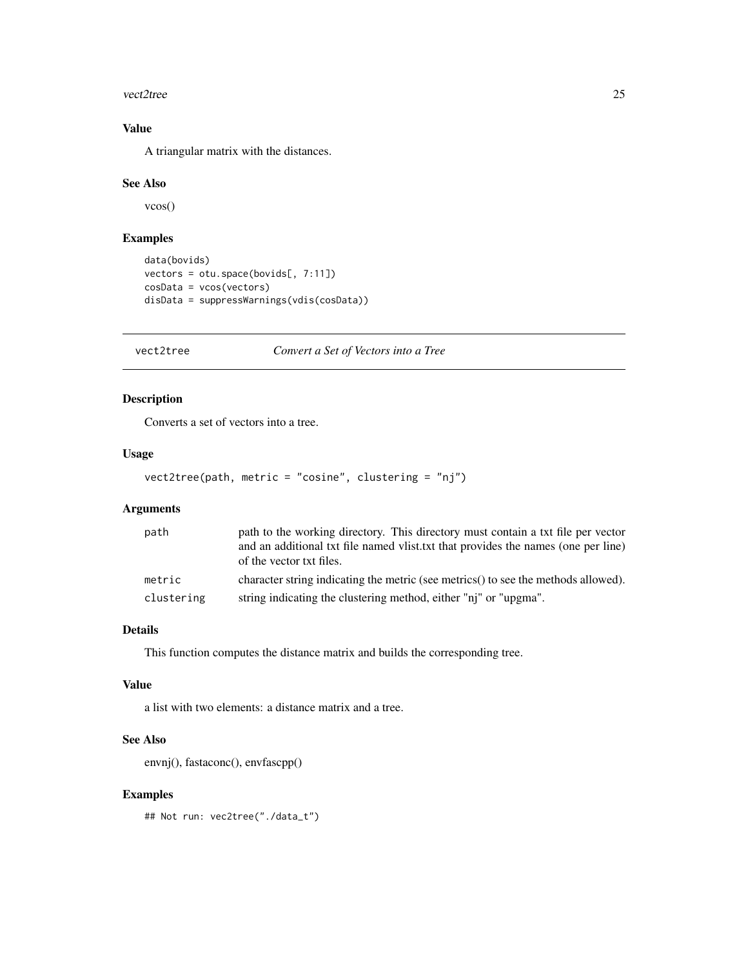#### <span id="page-24-0"></span>vect2tree 25

# Value

A triangular matrix with the distances.

# See Also

vcos()

# Examples

```
data(bovids)
vectors = otu.space(bovids[, 7:11])
cosData = vcos(vectors)
disData = suppressWarnings(vdis(cosData))
```
vect2tree *Convert a Set of Vectors into a Tree*

# Description

Converts a set of vectors into a tree.

#### Usage

```
vect2tree(path, metric = "cosine", clustering = "nj")
```
# Arguments

| path       | path to the working directory. This directory must contain a txt file per vector<br>and an additional txt file named vlist, txt that provides the names (one per line)<br>of the vector txt files. |
|------------|----------------------------------------------------------------------------------------------------------------------------------------------------------------------------------------------------|
| metric     | character string indicating the metric (see metrics) to see the methods allowed).                                                                                                                  |
| clustering | string indicating the clustering method, either "ni" or "upgma".                                                                                                                                   |

# Details

This function computes the distance matrix and builds the corresponding tree.

#### Value

a list with two elements: a distance matrix and a tree.

### See Also

envnj(), fastaconc(), envfascpp()

# Examples

## Not run: vec2tree("./data\_t")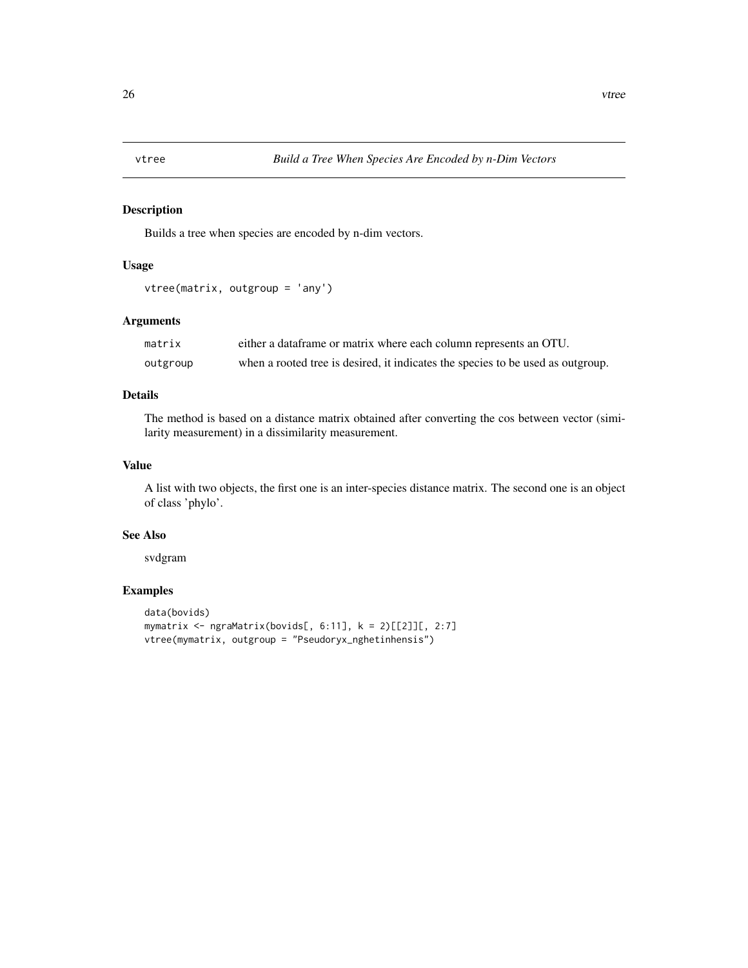<span id="page-25-0"></span>

Builds a tree when species are encoded by n-dim vectors.

# Usage

```
vtree(matrix, outgroup = 'any')
```
# Arguments

| matrix   | either a data frame or matrix where each column represents an OTU.              |
|----------|---------------------------------------------------------------------------------|
| outgroup | when a rooted tree is desired, it indicates the species to be used as outgroup. |

# Details

The method is based on a distance matrix obtained after converting the cos between vector (similarity measurement) in a dissimilarity measurement.

# Value

A list with two objects, the first one is an inter-species distance matrix. The second one is an object of class 'phylo'.

#### See Also

svdgram

# Examples

```
data(bovids)
mymatrix <- ngraMatrix(bovids[, 6:11], k = 2)[[2]][, 2:7]
vtree(mymatrix, outgroup = "Pseudoryx_nghetinhensis")
```